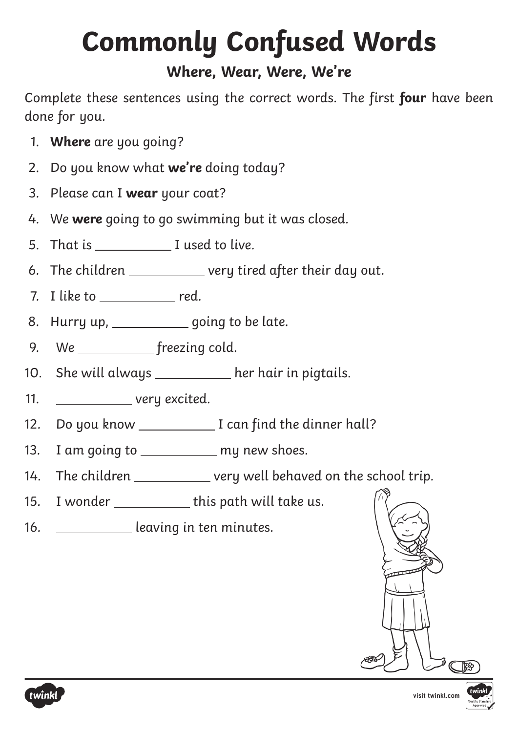## **Commonly Confused Words**

### **Where, Wear, Were, We're**

Complete these sentences using the correct words. The first **four** have been done for you.

- 1. **Where** are you going?
- 2. Do you know what **we're** doing today?
- 3. Please can I **wear** your coat?
- 4. We **were** going to go swimming but it was closed.
- 5. That is I used to live.
- 6. The children \_\_\_\_\_\_\_\_\_\_\_\_ very tired after their day out.
- 7. I like to red.
- 8. Hurry up, \_\_\_\_\_\_\_\_\_\_\_\_ going to be late.
- 9. We freezing cold.
- 10. She will always \_\_\_\_\_\_\_\_\_ her hair in pigtails.
- 11. \_\_\_\_\_\_\_\_\_\_\_\_\_ very excited.
- 12. Do you know I can find the dinner hall?
- 13. I am going to \_\_\_\_\_\_\_\_\_\_\_ my new shoes.
- 14. The children \_\_\_\_\_\_\_\_\_\_ very well behaved on the school trip.
- 15. I wonder this path will take us.
- 16. **In the same of the leaving in ten minutes.**





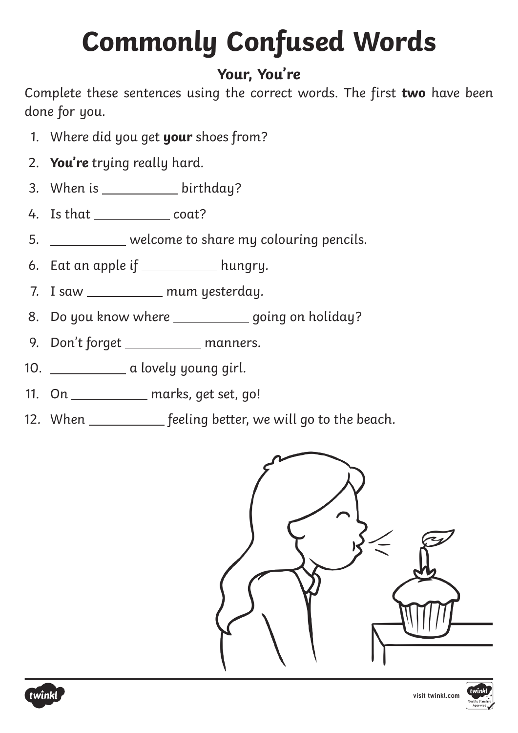# **Commonly Confused Words**

### **Your, You're**

Complete these sentences using the correct words. The first **two** have been done for you.

- 1. Where did you get **your** shoes from?
- 2. **You're** trying really hard.
- 3. When is  $\frac{1}{2}$  birthday?
- 4. Is that coat?
- 5. welcome to share my colouring pencils.
- 6. Eat an apple if  $\_\_\_\_\_\_\_\$ hungry.
- 7. I saw mum yesterday.
- 8. Do you know where \_\_\_\_\_\_\_\_\_\_\_ going on holiday?
- 9. Don't forget \_\_\_\_\_\_\_\_\_\_ manners.
- 10. **a** lovely young girl.
- 11. On marks, get set, go!
- 12. When \_\_\_\_\_\_\_\_\_\_\_ feeling better, we will go to the beach.





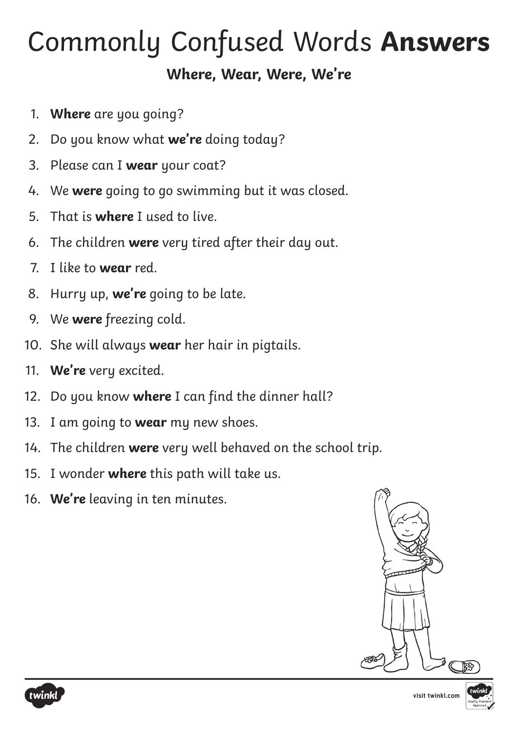### Commonly Confused Words **Answers**

### **Where, Wear, Were, We're**

- 1. **Where** are you going?
- 2. Do you know what **we're** doing today?
- 3. Please can I **wear** your coat?
- 4. We **were** going to go swimming but it was closed.
- 5. That is **where** I used to live.
- 6. The children **were** very tired after their day out.
- 7. I like to **wear** red.
- 8. Hurry up, **we're** going to be late.
- 9. We **were** freezing cold.
- 10. She will always **wear** her hair in pigtails.
- 11. **We're** very excited.
- 12. Do you know **where** I can find the dinner hall?
- 13. I am going to **wear** my new shoes.
- 14. The children **were** very well behaved on the school trip.
- 15. I wonder **where** this path will take us.
- 16. **We're** leaving in ten minutes.